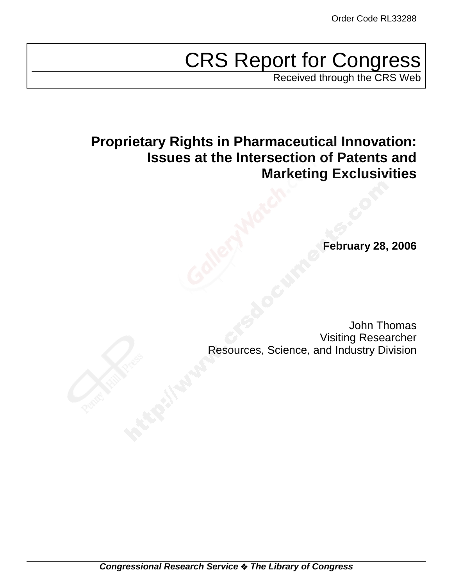# CRS Report for Congress

Received through the CRS Web

# **Proprietary Rights in Pharmaceutical Innovation: Issues at the Intersection of Patents and Marketing Exclusivities**

**February 28, 2006**

John Thomas Visiting Researcher Resources, Science, and Industry Division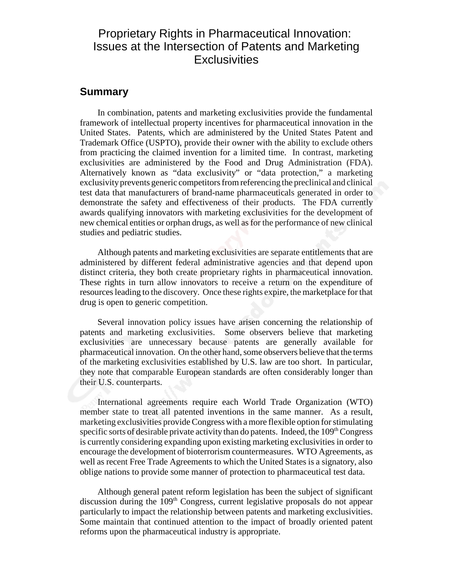# Proprietary Rights in Pharmaceutical Innovation: Issues at the Intersection of Patents and Marketing **Exclusivities**

#### **Summary**

In combination, patents and marketing exclusivities provide the fundamental framework of intellectual property incentives for pharmaceutical innovation in the United States. Patents, which are administered by the United States Patent and Trademark Office (USPTO), provide their owner with the ability to exclude others from practicing the claimed invention for a limited time. In contrast, marketing exclusivities are administered by the Food and Drug Administration (FDA). Alternatively known as "data exclusivity" or "data protection," a marketing exclusivity prevents generic competitors from referencing the preclinical and clinical test data that manufacturers of brand-name pharmaceuticals generated in order to demonstrate the safety and effectiveness of their products. The FDA currently awards qualifying innovators with marketing exclusivities for the development of new chemical entities or orphan drugs, as well as for the performance of new clinical studies and pediatric studies.

Although patents and marketing exclusivities are separate entitlements that are administered by different federal administrative agencies and that depend upon distinct criteria, they both create proprietary rights in pharmaceutical innovation. These rights in turn allow innovators to receive a return on the expenditure of resources leading to the discovery. Once these rights expire, the marketplace for that drug is open to generic competition.

Several innovation policy issues have arisen concerning the relationship of patents and marketing exclusivities. Some observers believe that marketing exclusivities are unnecessary because patents are generally available for pharmaceutical innovation. On the other hand, some observers believe that the terms of the marketing exclusivities established by U.S. law are too short. In particular, they note that comparable European standards are often considerably longer than their U.S. counterparts.

International agreements require each World Trade Organization (WTO) member state to treat all patented inventions in the same manner. As a result, marketing exclusivities provide Congress with a more flexible option for stimulating specific sorts of desirable private activity than do patents. Indeed, the  $109<sup>th</sup> Congress$ is currently considering expanding upon existing marketing exclusivities in order to encourage the development of bioterrorism countermeasures. WTO Agreements, as well as recent Free Trade Agreements to which the United States is a signatory, also oblige nations to provide some manner of protection to pharmaceutical test data.

Although general patent reform legislation has been the subject of significant discussion during the  $109<sup>th</sup>$  Congress, current legislative proposals do not appear particularly to impact the relationship between patents and marketing exclusivities. Some maintain that continued attention to the impact of broadly oriented patent reforms upon the pharmaceutical industry is appropriate.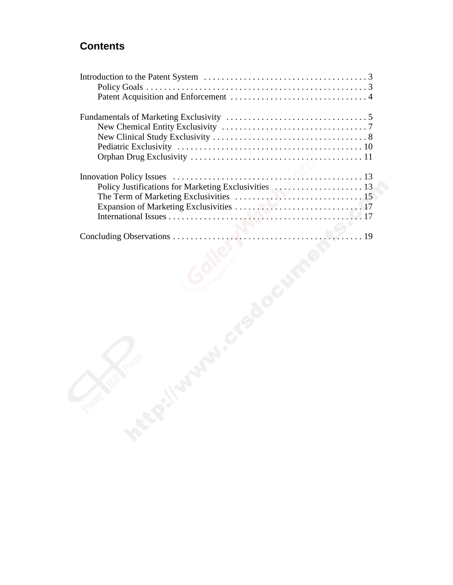# **Contents**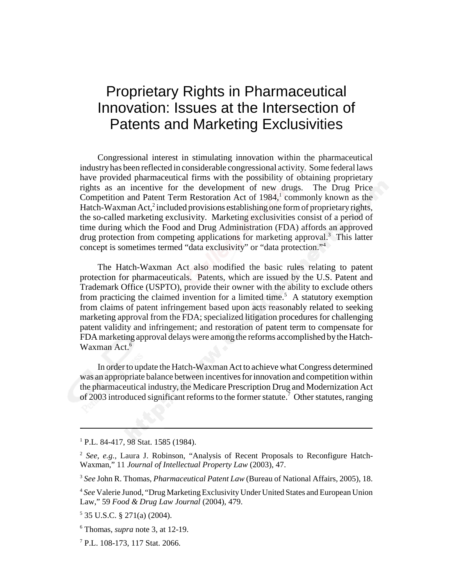# Proprietary Rights in Pharmaceutical Innovation: Issues at the Intersection of Patents and Marketing Exclusivities

Congressional interest in stimulating innovation within the pharmaceutical industry has been reflected in considerable congressional activity. Some federal laws have provided pharmaceutical firms with the possibility of obtaining proprietary rights as an incentive for the development of new drugs. The Drug Price Competition and Patent Term Restoration Act of 1984,<sup>1</sup> commonly known as the Hatch-Waxman Act,<sup>2</sup> included provisions establishing one form of proprietary rights, the so-called marketing exclusivity. Marketing exclusivities consist of a period of time during which the Food and Drug Administration (FDA) affords an approved drug protection from competing applications for marketing approval.<sup>3</sup> This latter concept is sometimes termed "data exclusivity" or "data protection."4

The Hatch-Waxman Act also modified the basic rules relating to patent protection for pharmaceuticals. Patents, which are issued by the U.S. Patent and Trademark Office (USPTO), provide their owner with the ability to exclude others from practicing the claimed invention for a limited time.<sup>5</sup> A statutory exemption from claims of patent infringement based upon acts reasonably related to seeking marketing approval from the FDA; specialized litigation procedures for challenging patent validity and infringement; and restoration of patent term to compensate for FDA marketing approval delays were among the reforms accomplished by the Hatch-Waxman Act.<sup>6</sup>

In order to update the Hatch-Waxman Act to achieve what Congress determined was an appropriate balance between incentives for innovation and competition within the pharmaceutical industry, the Medicare Prescription Drug and Modernization Act of 2003 introduced significant reforms to the former statute.<sup>7</sup> Other statutes, ranging

<sup>&</sup>lt;sup>1</sup> P.L. 84-417, 98 Stat. 1585 (1984).

<sup>2</sup> *See, e.g.,* Laura J. Robinson, "Analysis of Recent Proposals to Reconfigure Hatch-Waxman," 11 *Journal of Intellectual Property Law* (2003), 47.

<sup>3</sup> *See* John R. Thomas, *Pharmaceutical Patent Law* (Bureau of National Affairs, 2005), 18.

<sup>4</sup> *See* Valerie Junod, "Drug Marketing Exclusivity Under United States and European Union Law," 59 *Food & Drug Law Journal* (2004), 479.

<sup>5</sup> 35 U.S.C. § 271(a) (2004).

<sup>6</sup> Thomas, *supra* note 3, at 12-19.

<sup>7</sup> P.L. 108-173, 117 Stat. 2066.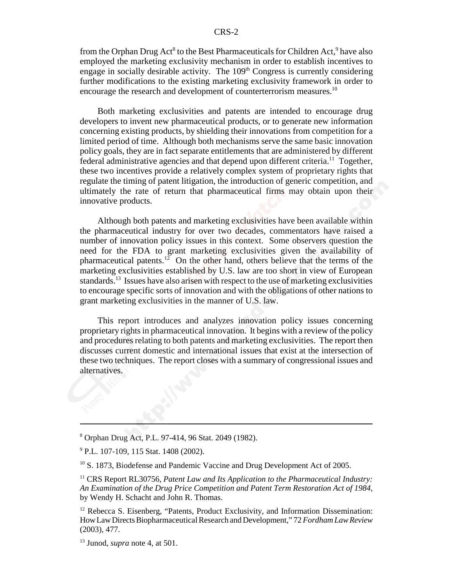from the Orphan Drug Act<sup>8</sup> to the Best Pharmaceuticals for Children Act,<sup>9</sup> have also employed the marketing exclusivity mechanism in order to establish incentives to engage in socially desirable activity. The  $109<sup>th</sup>$  Congress is currently considering further modifications to the existing marketing exclusivity framework in order to encourage the research and development of counterterrorism measures.<sup>10</sup>

Both marketing exclusivities and patents are intended to encourage drug developers to invent new pharmaceutical products, or to generate new information concerning existing products, by shielding their innovations from competition for a limited period of time. Although both mechanisms serve the same basic innovation policy goals, they are in fact separate entitlements that are administered by different federal administrative agencies and that depend upon different criteria.<sup>11</sup> Together, these two incentives provide a relatively complex system of proprietary rights that regulate the timing of patent litigation, the introduction of generic competition, and ultimately the rate of return that pharmaceutical firms may obtain upon their innovative products.

Although both patents and marketing exclusivities have been available within the pharmaceutical industry for over two decades, commentators have raised a number of innovation policy issues in this context. Some observers question the need for the FDA to grant marketing exclusivities given the availability of pharmaceutical patents.<sup>12</sup> On the other hand, others believe that the terms of the marketing exclusivities established by U.S. law are too short in view of European standards.<sup>13</sup> Issues have also arisen with respect to the use of marketing exclusivities to encourage specific sorts of innovation and with the obligations of other nations to grant marketing exclusivities in the manner of U.S. law.

This report introduces and analyzes innovation policy issues concerning proprietary rights in pharmaceutical innovation. It begins with a review of the policy and procedures relating to both patents and marketing exclusivities. The report then discusses current domestic and international issues that exist at the intersection of these two techniques. The report closes with a summary of congressional issues and alternatives.

<sup>8</sup> Orphan Drug Act, P.L. 97-414, 96 Stat. 2049 (1982).

<sup>&</sup>lt;sup>9</sup> P.L. 107-109, 115 Stat. 1408 (2002).

<sup>&</sup>lt;sup>10</sup> S. 1873, Biodefense and Pandemic Vaccine and Drug Development Act of 2005.

<sup>&</sup>lt;sup>11</sup> CRS Report RL30756, *Patent Law and Its Application to the Pharmaceutical Industry: An Examination of the Drug Price Competition and Patent Term Restoration Act of 1984*, by Wendy H. Schacht and John R. Thomas.

<sup>&</sup>lt;sup>12</sup> Rebecca S. Eisenberg, "Patents, Product Exclusivity, and Information Dissemination: How Law Directs Biopharmaceutical Research and Development," 72 *Fordham Law Review* (2003), 477.

<sup>13</sup> Junod, *supra* note 4, at 501.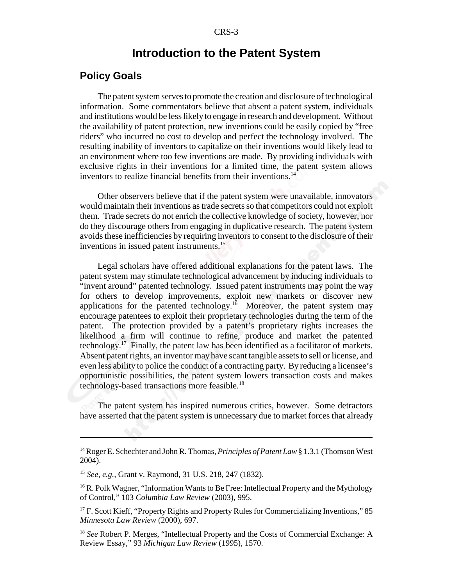#### **Introduction to the Patent System**

#### **Policy Goals**

The patent system serves to promote the creation and disclosure of technological information. Some commentators believe that absent a patent system, individuals and institutions would be less likely to engage in research and development. Without the availability of patent protection, new inventions could be easily copied by "free riders" who incurred no cost to develop and perfect the technology involved. The resulting inability of inventors to capitalize on their inventions would likely lead to an environment where too few inventions are made. By providing individuals with exclusive rights in their inventions for a limited time, the patent system allows inventors to realize financial benefits from their inventions.<sup>14</sup>

Other observers believe that if the patent system were unavailable, innovators would maintain their inventions as trade secrets so that competitors could not exploit them. Trade secrets do not enrich the collective knowledge of society, however, nor do they discourage others from engaging in duplicative research. The patent system avoids these inefficiencies by requiring inventors to consent to the disclosure of their inventions in issued patent instruments.<sup>15</sup>

Legal scholars have offered additional explanations for the patent laws. The patent system may stimulate technological advancement by inducing individuals to "invent around" patented technology. Issued patent instruments may point the way for others to develop improvements, exploit new markets or discover new applications for the patented technology.<sup>16</sup> Moreover, the patent system may encourage patentees to exploit their proprietary technologies during the term of the patent. The protection provided by a patent's proprietary rights increases the likelihood a firm will continue to refine, produce and market the patented technology.17 Finally, the patent law has been identified as a facilitator of markets. Absent patent rights, an inventor may have scant tangible assets to sell or license, and even less ability to police the conduct of a contracting party. By reducing a licensee's opportunistic possibilities, the patent system lowers transaction costs and makes technology-based transactions more feasible.<sup>18</sup>

The patent system has inspired numerous critics, however. Some detractors have asserted that the patent system is unnecessary due to market forces that already

<sup>14</sup> Roger E. Schechter and John R. Thomas, *Principles of Patent Law* § 1.3.1 (Thomson West 2004).

<sup>15</sup> *See, e.g.,* Grant v. Raymond, 31 U.S. 218, 247 (1832).

<sup>&</sup>lt;sup>16</sup> R. Polk Wagner, "Information Wants to Be Free: Intellectual Property and the Mythology of Control," 103 *Columbia Law Review* (2003), 995.

<sup>&</sup>lt;sup>17</sup> F. Scott Kieff, "Property Rights and Property Rules for Commercializing Inventions," 85 *Minnesota Law Review* (2000), 697.

<sup>18</sup> *See* Robert P. Merges, "Intellectual Property and the Costs of Commercial Exchange: A Review Essay," 93 *Michigan Law Review* (1995), 1570.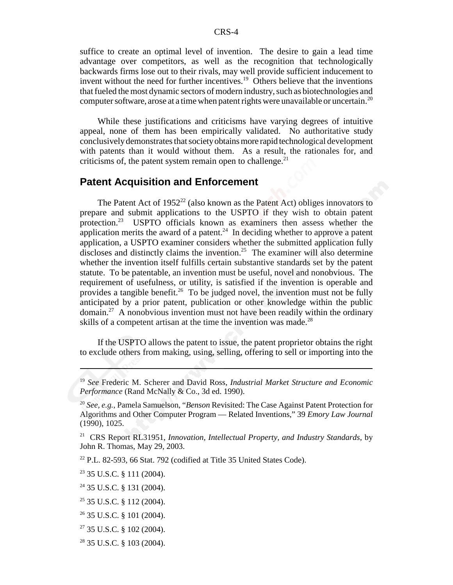suffice to create an optimal level of invention. The desire to gain a lead time advantage over competitors, as well as the recognition that technologically backwards firms lose out to their rivals, may well provide sufficient inducement to invent without the need for further incentives.<sup>19</sup> Others believe that the inventions that fueled the most dynamic sectors of modern industry, such as biotechnologies and computer software, arose at a time when patent rights were unavailable or uncertain.<sup>20</sup>

While these justifications and criticisms have varying degrees of intuitive appeal, none of them has been empirically validated. No authoritative study conclusively demonstrates that society obtains more rapid technological development with patents than it would without them. As a result, the rationales for, and criticisms of, the patent system remain open to challenge. $^{21}$ 

#### **Patent Acquisition and Enforcement**

The Patent Act of  $1952^{22}$  (also known as the Patent Act) obliges innovators to prepare and submit applications to the USPTO if they wish to obtain patent protection.23 USPTO officials known as examiners then assess whether the application merits the award of a patent.<sup>24</sup> In deciding whether to approve a patent application, a USPTO examiner considers whether the submitted application fully discloses and distinctly claims the invention.<sup>25</sup> The examiner will also determine whether the invention itself fulfills certain substantive standards set by the patent statute. To be patentable, an invention must be useful, novel and nonobvious. The requirement of usefulness, or utility, is satisfied if the invention is operable and provides a tangible benefit.<sup>26</sup> To be judged novel, the invention must not be fully anticipated by a prior patent, publication or other knowledge within the public domain.27 A nonobvious invention must not have been readily within the ordinary skills of a competent artisan at the time the invention was made.<sup>28</sup>

If the USPTO allows the patent to issue, the patent proprietor obtains the right to exclude others from making, using, selling, offering to sell or importing into the

22 P.L. 82-593, 66 Stat. 792 (codified at Title 35 United States Code).

23 35 U.S.C. § 111 (2004).

<sup>19</sup> *See* Frederic M. Scherer and David Ross, *Industrial Market Structure and Economic Performance* (Rand McNally & Co., 3d ed. 1990).

<sup>20</sup> *See, e.g.,* Pamela Samuelson, "*Benson* Revisited: The Case Against Patent Protection for Algorithms and Other Computer Program — Related Inventions," 39 *Emory Law Journal* (1990), 1025.

<sup>21</sup> CRS Report RL31951, *Innovation, Intellectual Property, and Industry Standards*, by John R. Thomas, May 29, 2003.

<sup>24 35</sup> U.S.C. § 131 (2004).

 $25$  35 U.S.C. § 112 (2004).

<sup>26 35</sup> U.S.C. § 101 (2004).

 $27$  35 U.S.C. § 102 (2004).

<sup>28 35</sup> U.S.C. § 103 (2004).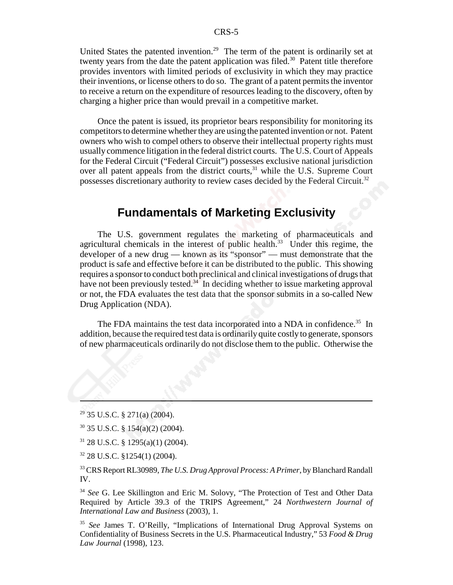United States the patented invention.<sup>29</sup> The term of the patent is ordinarily set at twenty years from the date the patent application was filed.<sup>30</sup> Patent title therefore provides inventors with limited periods of exclusivity in which they may practice their inventions, or license others to do so. The grant of a patent permits the inventor to receive a return on the expenditure of resources leading to the discovery, often by charging a higher price than would prevail in a competitive market.

Once the patent is issued, its proprietor bears responsibility for monitoring its competitors to determine whether they are using the patented invention or not. Patent owners who wish to compel others to observe their intellectual property rights must usually commence litigation in the federal district courts. The U.S. Court of Appeals for the Federal Circuit ("Federal Circuit") possesses exclusive national jurisdiction over all patent appeals from the district courts,<sup>31</sup> while the U.S. Supreme Court possesses discretionary authority to review cases decided by the Federal Circuit.32

# **Fundamentals of Marketing Exclusivity**

The U.S. government regulates the marketing of pharmaceuticals and agricultural chemicals in the interest of public health.<sup>33</sup> Under this regime, the developer of a new drug — known as its "sponsor" — must demonstrate that the product is safe and effective before it can be distributed to the public. This showing requires a sponsor to conduct both preclinical and clinical investigations of drugs that have not been previously tested.<sup>34</sup> In deciding whether to issue marketing approval or not, the FDA evaluates the test data that the sponsor submits in a so-called New Drug Application (NDA).

The FDA maintains the test data incorporated into a NDA in confidence.<sup>35</sup> In addition, because the required test data is ordinarily quite costly to generate, sponsors of new pharmaceuticals ordinarily do not disclose them to the public. Otherwise the

- 31 28 U.S.C. § 1295(a)(1) (2004).
- $32$  28 U.S.C. §1254(1) (2004).

33 CRS Report RL30989, *The U.S. Drug Approval Process: A Primer*, by Blanchard Randall IV.

<sup>34</sup> *See* G. Lee Skillington and Eric M. Solovy, "The Protection of Test and Other Data Required by Article 39.3 of the TRIPS Agreement," 24 *Northwestern Journal of International Law and Business* (2003), 1.

<sup>35</sup> See James T. O'Reilly, "Implications of International Drug Approval Systems on Confidentiality of Business Secrets in the U.S. Pharmaceutical Industry," 53 *Food & Drug Law Journal* (1998), 123.

<sup>29 35</sup> U.S.C. § 271(a) (2004).

 $30$  35 U.S.C. § 154(a)(2) (2004).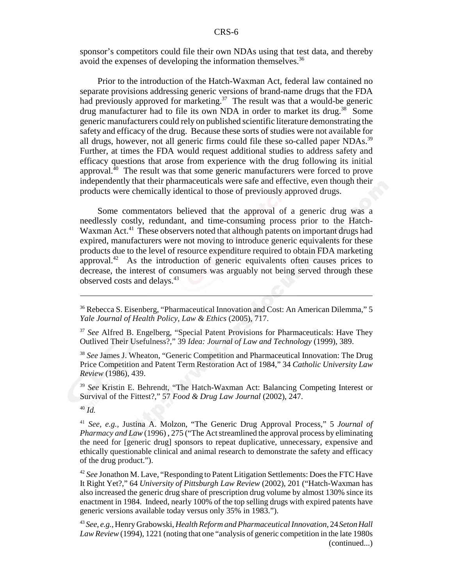sponsor's competitors could file their own NDAs using that test data, and thereby avoid the expenses of developing the information themselves.<sup>36</sup>

Prior to the introduction of the Hatch-Waxman Act, federal law contained no separate provisions addressing generic versions of brand-name drugs that the FDA had previously approved for marketing.<sup>37</sup> The result was that a would-be generic drug manufacturer had to file its own NDA in order to market its drug.<sup>38</sup> Some generic manufacturers could rely on published scientific literature demonstrating the safety and efficacy of the drug. Because these sorts of studies were not available for all drugs, however, not all generic firms could file these so-called paper NDAs.<sup>39</sup> Further, at times the FDA would request additional studies to address safety and efficacy questions that arose from experience with the drug following its initial approval.40 The result was that some generic manufacturers were forced to prove independently that their pharmaceuticals were safe and effective, even though their products were chemically identical to those of previously approved drugs.

Some commentators believed that the approval of a generic drug was a needlessly costly, redundant, and time-consuming process prior to the Hatch-Waxman Act.<sup>41</sup> These observers noted that although patents on important drugs had expired, manufacturers were not moving to introduce generic equivalents for these products due to the level of resource expenditure required to obtain FDA marketing approval.<sup>42</sup> As the introduction of generic equivalents often causes prices to decrease, the interest of consumers was arguably not being served through these observed costs and delays.43

<sup>38</sup> *See* James J. Wheaton, "Generic Competition and Pharmaceutical Innovation: The Drug Price Competition and Patent Term Restoration Act of 1984," 34 *Catholic University Law Review* (1986), 439.

<sup>39</sup> *See* Kristin E. Behrendt, "The Hatch-Waxman Act: Balancing Competing Interest or Survival of the Fittest?," 57 *Food & Drug Law Journal* (2002), 247.

<sup>40</sup> *Id.*

<sup>41</sup> *See, e.g.,* Justina A. Molzon, "The Generic Drug Approval Process," 5 *Journal of Pharmacy and Law* (1996) , 275 ("The Act streamlined the approval process by eliminating the need for [generic drug] sponsors to repeat duplicative, unnecessary, expensive and ethically questionable clinical and animal research to demonstrate the safety and efficacy of the drug product.").

<sup>42</sup> *See* Jonathon M. Lave, "Responding to Patent Litigation Settlements: Does the FTC Have It Right Yet?," 64 *University of Pittsburgh Law Review* (2002), 201 ("Hatch-Waxman has also increased the generic drug share of prescription drug volume by almost 130% since its enactment in 1984. Indeed, nearly 100% of the top selling drugs with expired patents have generic versions available today versus only 35% in 1983.").

<sup>36</sup> Rebecca S. Eisenberg, "Pharmaceutical Innovation and Cost: An American Dilemma," 5 *Yale Journal of Health Policy, Law & Ethics* (2005), 717.

<sup>&</sup>lt;sup>37</sup> See Alfred B. Engelberg, "Special Patent Provisions for Pharmaceuticals: Have They Outlived Their Usefulness?," 39 *Idea: Journal of Law and Technology* (1999), 389.

<sup>43</sup> *See, e.g.,* Henry Grabowski, *Health Reform and Pharmaceutical Innovation*, 24*Seton Hall Law Review* (1994), 1221 (noting that one "analysis of generic competition in the late 1980s (continued...)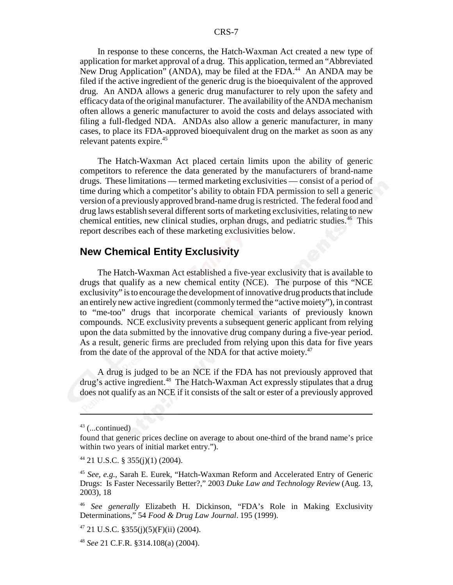In response to these concerns, the Hatch-Waxman Act created a new type of application for market approval of a drug. This application, termed an "Abbreviated New Drug Application" (ANDA), may be filed at the FDA.<sup>44</sup> An ANDA may be filed if the active ingredient of the generic drug is the bioequivalent of the approved drug. An ANDA allows a generic drug manufacturer to rely upon the safety and efficacy data of the original manufacturer. The availability of the ANDA mechanism often allows a generic manufacturer to avoid the costs and delays associated with filing a full-fledged NDA. ANDAs also allow a generic manufacturer, in many cases, to place its FDA-approved bioequivalent drug on the market as soon as any relevant patents expire.<sup>45</sup>

The Hatch-Waxman Act placed certain limits upon the ability of generic competitors to reference the data generated by the manufacturers of brand-name drugs. These limitations — termed marketing exclusivities — consist of a period of time during which a competitor's ability to obtain FDA permission to sell a generic version of a previously approved brand-name drug is restricted. The federal food and drug laws establish several different sorts of marketing exclusivities, relating to new chemical entities, new clinical studies, orphan drugs, and pediatric studies.<sup>46</sup> This report describes each of these marketing exclusivities below.

#### **New Chemical Entity Exclusivity**

The Hatch-Waxman Act established a five-year exclusivity that is available to drugs that qualify as a new chemical entity (NCE). The purpose of this "NCE exclusivity" is to encourage the development of innovative drug products that include an entirely new active ingredient (commonly termed the "active moiety"), in contrast to "me-too" drugs that incorporate chemical variants of previously known compounds. NCE exclusivity prevents a subsequent generic applicant from relying upon the data submitted by the innovative drug company during a five-year period. As a result, generic firms are precluded from relying upon this data for five years from the date of the approval of the NDA for that active moiety. $47$ 

A drug is judged to be an NCE if the FDA has not previously approved that drug's active ingredient.<sup>48</sup> The Hatch-Waxman Act expressly stipulates that a drug does not qualify as an NCE if it consists of the salt or ester of a previously approved

 $47$  21 U.S.C. §355(j)(5)(F)(ii) (2004).

<sup>48</sup> *See* 21 C.F.R. §314.108(a) (2004).

 $43$  (...continued)

found that generic prices decline on average to about one-third of the brand name's price within two years of initial market entry.").

 $44$  21 U.S.C. § 355(j)(1) (2004).

<sup>45</sup> *See, e.g.,* Sarah E. Eurek, "Hatch-Waxman Reform and Accelerated Entry of Generic Drugs: Is Faster Necessarily Better?," 2003 *Duke Law and Technology Review* (Aug. 13, 2003), 18

<sup>46</sup> *See generally* Elizabeth H. Dickinson, "FDA's Role in Making Exclusivity Determinations," 54 *Food & Drug Law Journal*. 195 (1999).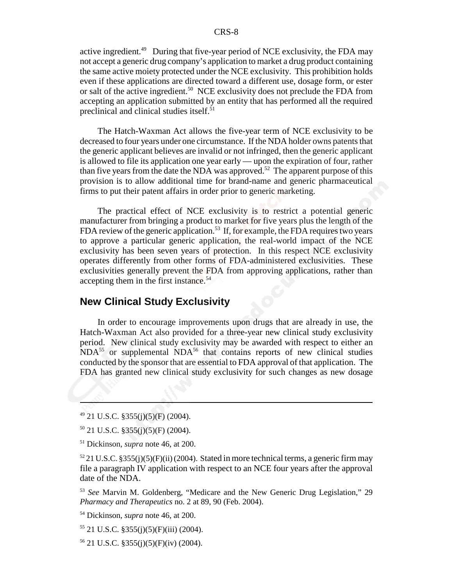active ingredient.<sup>49</sup> During that five-year period of NCE exclusivity, the FDA may not accept a generic drug company's application to market a drug product containing the same active moiety protected under the NCE exclusivity. This prohibition holds even if these applications are directed toward a different use, dosage form, or ester or salt of the active ingredient.<sup>50</sup> NCE exclusivity does not preclude the FDA from accepting an application submitted by an entity that has performed all the required preclinical and clinical studies itself.<sup>51</sup>

The Hatch-Waxman Act allows the five-year term of NCE exclusivity to be decreased to four years under one circumstance. If the NDA holder owns patents that the generic applicant believes are invalid or not infringed, then the generic applicant is allowed to file its application one year early — upon the expiration of four, rather than five years from the date the NDA was approved.<sup>52</sup> The apparent purpose of this provision is to allow additional time for brand-name and generic pharmaceutical firms to put their patent affairs in order prior to generic marketing.

The practical effect of NCE exclusivity is to restrict a potential generic manufacturer from bringing a product to market for five years plus the length of the FDA review of the generic application.<sup>53</sup> If, for example, the FDA requires two years to approve a particular generic application, the real-world impact of the NCE exclusivity has been seven years of protection. In this respect NCE exclusivity operates differently from other forms of FDA-administered exclusivities. These exclusivities generally prevent the FDA from approving applications, rather than accepting them in the first instance.<sup>54</sup>

## **New Clinical Study Exclusivity**

In order to encourage improvements upon drugs that are already in use, the Hatch-Waxman Act also provided for a three-year new clinical study exclusivity period. New clinical study exclusivity may be awarded with respect to either an  $NDA<sup>55</sup>$  or supplemental  $NDA<sup>56</sup>$  that contains reports of new clinical studies conducted by the sponsor that are essential to FDA approval of that application. The FDA has granted new clinical study exclusivity for such changes as new dosage

<sup>53</sup> *See* Marvin M. Goldenberg, "Medicare and the New Generic Drug Legislation," 29 *Pharmacy and Therapeutics* no. 2 at 89, 90 (Feb. 2004).

54 Dickinson, *supra* note 46, at 200.

 $55$  21 U.S.C. §355(j)(5)(F)(iii) (2004).

56 21 U.S.C. §355(j)(5)(F)(iv) (2004).

 $49$  21 U.S.C. § 355(j)(5)(F) (2004).

 $50$  21 U.S.C. §355(j)(5)(F) (2004).

<sup>51</sup> Dickinson, *supra* note 46, at 200.

 $52$  21 U.S.C. §355(j)(5)(F)(ii) (2004). Stated in more technical terms, a generic firm may file a paragraph IV application with respect to an NCE four years after the approval date of the NDA.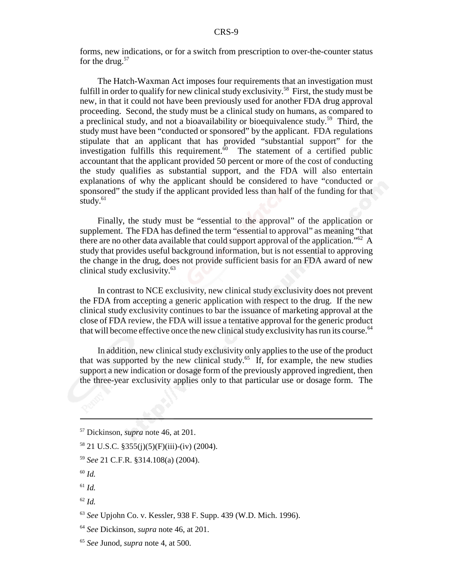forms, new indications, or for a switch from prescription to over-the-counter status for the drug.<sup>57</sup>

The Hatch-Waxman Act imposes four requirements that an investigation must fulfill in order to qualify for new clinical study exclusivity.<sup>58</sup> First, the study must be new, in that it could not have been previously used for another FDA drug approval proceeding. Second, the study must be a clinical study on humans, as compared to a preclinical study, and not a bioavailability or bioequivalence study.59 Third, the study must have been "conducted or sponsored" by the applicant. FDA regulations stipulate that an applicant that has provided "substantial support" for the investigation fulfills this requirement.<sup>60</sup> The statement of a certified public accountant that the applicant provided 50 percent or more of the cost of conducting the study qualifies as substantial support, and the FDA will also entertain explanations of why the applicant should be considered to have "conducted or sponsored" the study if the applicant provided less than half of the funding for that study. $61$ 

Finally, the study must be "essential to the approval" of the application or supplement. The FDA has defined the term "essential to approval" as meaning "that there are no other data available that could support approval of the application."<sup>62</sup> A study that provides useful background information, but is not essential to approving the change in the drug, does not provide sufficient basis for an FDA award of new clinical study exclusivity.63

In contrast to NCE exclusivity, new clinical study exclusivity does not prevent the FDA from accepting a generic application with respect to the drug. If the new clinical study exclusivity continues to bar the issuance of marketing approval at the close of FDA review, the FDA will issue a tentative approval for the generic product that will become effective once the new clinical study exclusivity has run its course.<sup>64</sup>

In addition, new clinical study exclusivity only applies to the use of the product that was supported by the new clinical study.<sup>65</sup> If, for example, the new studies support a new indication or dosage form of the previously approved ingredient, then the three-year exclusivity applies only to that particular use or dosage form. The

- <sup>61</sup> *Id.*
- <sup>62</sup> *Id.*

<sup>57</sup> Dickinson, *supra* note 46, at 201.

<sup>58 21</sup> U.S.C. §355(j)(5)(F)(iii)-(iv) (2004).

<sup>59</sup> *See* 21 C.F.R. §314.108(a) (2004).

<sup>60</sup> *Id.*

<sup>63</sup> *See* Upjohn Co. v. Kessler, 938 F. Supp. 439 (W.D. Mich. 1996).

<sup>64</sup> *See* Dickinson, *supra* note 46, at 201.

<sup>65</sup> *See* Junod, *supra* note 4, at 500.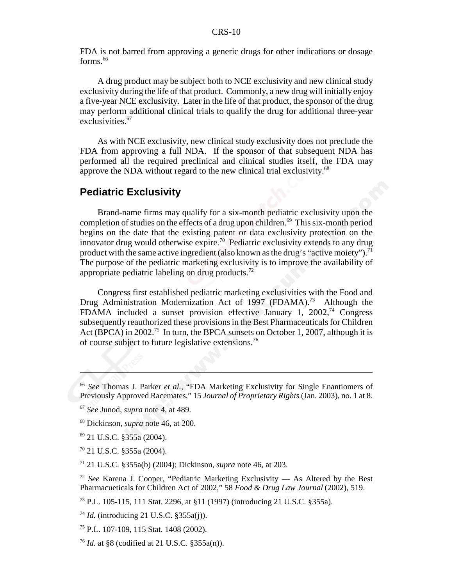FDA is not barred from approving a generic drugs for other indications or dosage forms.<sup>66</sup>

A drug product may be subject both to NCE exclusivity and new clinical study exclusivity during the life of that product. Commonly, a new drug will initially enjoy a five-year NCE exclusivity. Later in the life of that product, the sponsor of the drug may perform additional clinical trials to qualify the drug for additional three-year exclusivities.<sup>67</sup>

As with NCE exclusivity, new clinical study exclusivity does not preclude the FDA from approving a full NDA. If the sponsor of that subsequent NDA has performed all the required preclinical and clinical studies itself, the FDA may approve the NDA without regard to the new clinical trial exclusivity.<sup>68</sup>

## **Pediatric Exclusivity**

Brand-name firms may qualify for a six-month pediatric exclusivity upon the completion of studies on the effects of a drug upon children.<sup>69</sup> This six-month period begins on the date that the existing patent or data exclusivity protection on the innovator drug would otherwise expire.<sup>70</sup> Pediatric exclusivity extends to any drug product with the same active ingredient (also known as the drug's "active moiety").<sup>71</sup> The purpose of the pediatric marketing exclusivity is to improve the availability of appropriate pediatric labeling on drug products.<sup>72</sup>

Congress first established pediatric marketing exclusivities with the Food and Drug Administration Modernization Act of 1997 (FDAMA).<sup>73</sup> Although the FDAMA included a sunset provision effective January 1, 2002,74 Congress subsequently reauthorized these provisions in the Best Pharmaceuticals for Children Act (BPCA) in 2002.<sup>75</sup> In turn, the BPCA sunsets on October 1, 2007, although it is of course subject to future legislative extensions.76

<sup>66</sup> *See* Thomas J. Parker *et al.*, "FDA Marketing Exclusivity for Single Enantiomers of Previously Approved Racemates," 15 *Journal of Proprietary Rights* (Jan. 2003), no. 1 at 8.

<sup>67</sup> *See* Junod, *supra* note 4, at 489.

<sup>68</sup> Dickinson, *supra* note 46, at 200.

<sup>69 21</sup> U.S.C. §355a (2004).

<sup>70 21</sup> U.S.C. §355a (2004).

<sup>71 21</sup> U.S.C. §355a(b) (2004); Dickinson, *supra* note 46, at 203.

<sup>72</sup> *See* Karena J. Cooper, "Pediatric Marketing Exclusivity — As Altered by the Best Pharmacueticals for Children Act of 2002," 58 *Food & Drug Law Journal* (2002), 519.

<sup>73</sup> P.L. 105-115, 111 Stat. 2296, at §11 (1997) (introducing 21 U.S.C. §355a).

<sup>74</sup> *Id.* (introducing 21 U.S.C. §355a(j)).

<sup>75</sup> P.L. 107-109, 115 Stat. 1408 (2002).

<sup>76</sup> *Id.* at §8 (codified at 21 U.S.C. §355a(n)).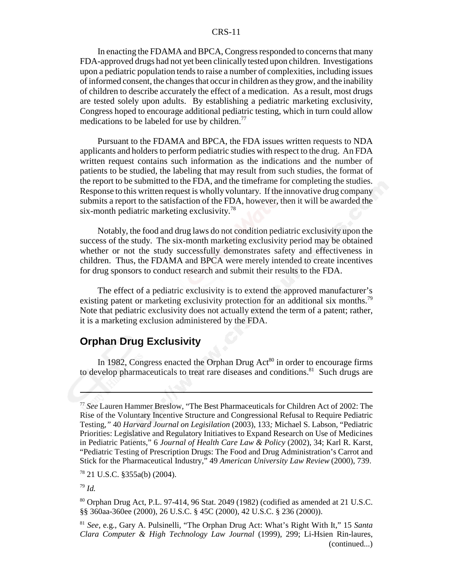In enacting the FDAMA and BPCA, Congress responded to concerns that many FDA-approved drugs had not yet been clinically tested upon children. Investigations upon a pediatric population tends to raise a number of complexities, including issues of informed consent, the changes that occur in children as they grow, and the inability of children to describe accurately the effect of a medication. As a result, most drugs are tested solely upon adults. By establishing a pediatric marketing exclusivity, Congress hoped to encourage additional pediatric testing, which in turn could allow medications to be labeled for use by children.<sup>77</sup>

Pursuant to the FDAMA and BPCA, the FDA issues written requests to NDA applicants and holders to perform pediatric studies with respect to the drug. An FDA written request contains such information as the indications and the number of patients to be studied, the labeling that may result from such studies, the format of the report to be submitted to the FDA, and the timeframe for completing the studies. Response to this written request is wholly voluntary. If the innovative drug company submits a report to the satisfaction of the FDA, however, then it will be awarded the six-month pediatric marketing exclusivity.<sup>78</sup>

Notably, the food and drug laws do not condition pediatric exclusivity upon the success of the study. The six-month marketing exclusivity period may be obtained whether or not the study successfully demonstrates safety and effectiveness in children. Thus, the FDAMA and BPCA were merely intended to create incentives for drug sponsors to conduct research and submit their results to the FDA.

The effect of a pediatric exclusivity is to extend the approved manufacturer's existing patent or marketing exclusivity protection for an additional six months.<sup>79</sup> Note that pediatric exclusivity does not actually extend the term of a patent; rather, it is a marketing exclusion administered by the FDA.

#### **Orphan Drug Exclusivity**

In 1982, Congress enacted the Orphan Drug  $Act^{80}$  in order to encourage firms to develop pharmaceuticals to treat rare diseases and conditions.<sup>81</sup> Such drugs are

 $78$  21 U.S.C. §355a(b) (2004).

<sup>79</sup> *Id.*

 $80$  Orphan Drug Act, P.L. 97-414, 96 Stat. 2049 (1982) (codified as amended at 21 U.S.C. §§ 360aa-360ee (2000), 26 U.S.C. § 45C (2000), 42 U.S.C. § 236 (2000)).

<sup>77</sup> *See* Lauren Hammer Breslow, "The Best Pharmaceuticals for Children Act of 2002: The Rise of the Voluntary Incentive Structure and Congressional Refusal to Require Pediatric Testing*,"* 40 *Harvard Journal on Legisilation* (2003), 133*;* Michael S. Labson*,* "Pediatric Priorities: Legislative and Regulatory Initiatives to Expand Research on Use of Medicines in Pediatric Patients," 6 *Journal of Health Care Law & Policy* (2002), 34; Karl R. Karst, "Pediatric Testing of Prescription Drugs: The Food and Drug Administration's Carrot and Stick for the Pharmaceutical Industry," 49 *American University Law Review* (2000), 739.

<sup>81</sup> *See*, e.g., Gary A. Pulsinelli, "The Orphan Drug Act: What's Right With It," 15 *Santa Clara Computer & High Technology Law Journal* (1999), 299; Li-Hsien Rin-laures, (continued...)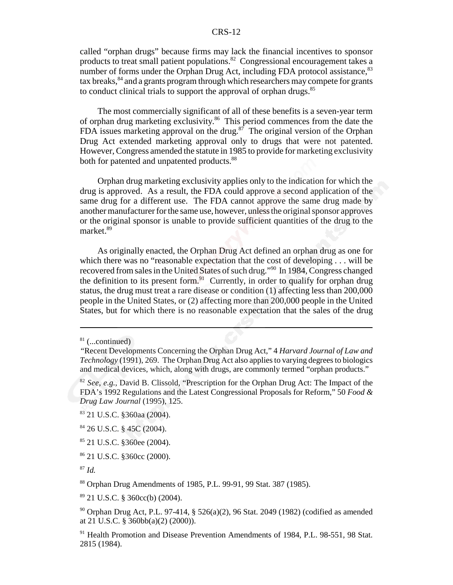called "orphan drugs" because firms may lack the financial incentives to sponsor products to treat small patient populations.82 Congressional encouragement takes a number of forms under the Orphan Drug Act, including FDA protocol assistance,<sup>83</sup>  $\text{tax breaks},^{84}$  and a grants program through which researchers may compete for grants to conduct clinical trials to support the approval of orphan drugs.<sup>85</sup>

The most commercially significant of all of these benefits is a seven-year term of orphan drug marketing exclusivity.86 This period commences from the date the FDA issues marketing approval on the drug. $87$  The original version of the Orphan Drug Act extended marketing approval only to drugs that were not patented. However, Congress amended the statute in 1985 to provide for marketing exclusivity both for patented and unpatented products.<sup>88</sup>

Orphan drug marketing exclusivity applies only to the indication for which the drug is approved. As a result, the FDA could approve a second application of the same drug for a different use. The FDA cannot approve the same drug made by another manufacturer for the same use, however, unless the original sponsor approves or the original sponsor is unable to provide sufficient quantities of the drug to the market.<sup>89</sup>

As originally enacted, the Orphan Drug Act defined an orphan drug as one for which there was no "reasonable expectation that the cost of developing . . . will be recovered from sales in the United States of such drug."90 In 1984, Congress changed the definition to its present form.<sup>91</sup> Currently, in order to qualify for orphan drug status, the drug must treat a rare disease or condition (1) affecting less than 200,000 people in the United States, or (2) affecting more than 200,000 people in the United States, but for which there is no reasonable expectation that the sales of the drug

 $81$  (...continued)

*<sup>&</sup>quot;*Recent Developments Concerning the Orphan Drug Act," 4 *Harvard Journal of Law and Technology* (1991), 269. The Orphan Drug Act also applies to varying degrees to biologics and medical devices, which, along with drugs, are commonly termed "orphan products."

<sup>82</sup> *See, e.g.,* David B. Clissold, "Prescription for the Orphan Drug Act: The Impact of the FDA's 1992 Regulations and the Latest Congressional Proposals for Reform," 50 *Food & Drug Law Journal* (1995), 125.

<sup>83 21</sup> U.S.C. §360aa (2004).

<sup>84 26</sup> U.S.C. § 45C (2004).

<sup>85 21</sup> U.S.C. §360ee (2004).

<sup>86 21</sup> U.S.C. §360cc (2000).

<sup>87</sup> *Id.*

<sup>88</sup> Orphan Drug Amendments of 1985, P.L. 99-91, 99 Stat. 387 (1985).

<sup>89 21</sup> U.S.C. § 360cc(b) (2004).

<sup>90</sup> Orphan Drug Act, P.L. 97-414, § 526(a)(2), 96 Stat. 2049 (1982) (codified as amended at 21 U.S.C. § 360bb(a)(2) (2000)).

<sup>&</sup>lt;sup>91</sup> Health Promotion and Disease Prevention Amendments of 1984, P.L. 98-551, 98 Stat. 2815 (1984).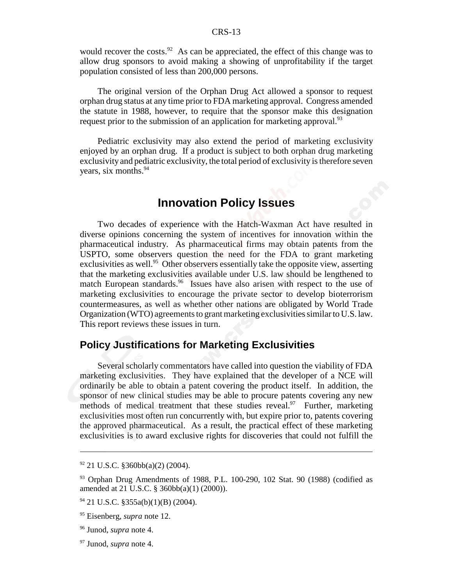would recover the costs.<sup>92</sup> As can be appreciated, the effect of this change was to allow drug sponsors to avoid making a showing of unprofitability if the target population consisted of less than 200,000 persons.

The original version of the Orphan Drug Act allowed a sponsor to request orphan drug status at any time prior to FDA marketing approval. Congress amended the statute in 1988, however, to require that the sponsor make this designation request prior to the submission of an application for marketing approval.<sup>93</sup>

Pediatric exclusivity may also extend the period of marketing exclusivity enjoyed by an orphan drug. If a product is subject to both orphan drug marketing exclusivity and pediatric exclusivity, the total period of exclusivity is therefore seven years, six months.<sup>94</sup>

## **Innovation Policy Issues**

Two decades of experience with the Hatch-Waxman Act have resulted in diverse opinions concerning the system of incentives for innovation within the pharmaceutical industry. As pharmaceutical firms may obtain patents from the USPTO, some observers question the need for the FDA to grant marketing exclusivities as well.<sup>95</sup> Other observers essentially take the opposite view, asserting that the marketing exclusivities available under U.S. law should be lengthened to match European standards.<sup>96</sup> Issues have also arisen with respect to the use of marketing exclusivities to encourage the private sector to develop bioterrorism countermeasures, as well as whether other nations are obligated by World Trade Organization (WTO) agreements to grant marketing exclusivities similar to U.S. law. This report reviews these issues in turn.

#### **Policy Justifications for Marketing Exclusivities**

Several scholarly commentators have called into question the viability of FDA marketing exclusivities. They have explained that the developer of a NCE will ordinarily be able to obtain a patent covering the product itself. In addition, the sponsor of new clinical studies may be able to procure patents covering any new methods of medical treatment that these studies reveal. Further, marketing exclusivities most often run concurrently with, but expire prior to, patents covering the approved pharmaceutical. As a result, the practical effect of these marketing exclusivities is to award exclusive rights for discoveries that could not fulfill the

 $92$  21 U.S.C. §360bb(a)(2) (2004).

 $93$  Orphan Drug Amendments of 1988, P.L. 100-290, 102 Stat. 90 (1988) (codified as amended at 21 U.S.C. § 360bb(a)(1) (2000)).

 $94$  21 U.S.C. §355a(b)(1)(B) (2004).

<sup>95</sup> Eisenberg, *supra* note 12.

<sup>96</sup> Junod, *supra* note 4.

<sup>97</sup> Junod, *supra* note 4.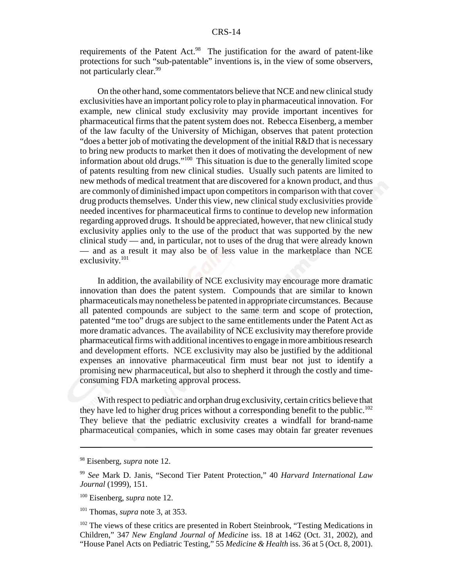requirements of the Patent Act.<sup>98</sup> The justification for the award of patent-like protections for such "sub-patentable" inventions is, in the view of some observers, not particularly clear.<sup>99</sup>

On the other hand, some commentators believe that NCE and new clinical study exclusivities have an important policy role to play in pharmaceutical innovation. For example, new clinical study exclusivity may provide important incentives for pharmaceutical firms that the patent system does not. Rebecca Eisenberg, a member of the law faculty of the University of Michigan, observes that patent protection "does a better job of motivating the development of the initial R&D that is necessary to bring new products to market then it does of motivating the development of new information about old drugs."100 This situation is due to the generally limited scope of patents resulting from new clinical studies. Usually such patents are limited to new methods of medical treatment that are discovered for a known product, and thus are commonly of diminished impact upon competitors in comparison with that cover drug products themselves. Under this view, new clinical study exclusivities provide needed incentives for pharmaceutical firms to continue to develop new information regarding approved drugs. It should be appreciated, however, that new clinical study exclusivity applies only to the use of the product that was supported by the new clinical study — and, in particular, not to uses of the drug that were already known — and as a result it may also be of less value in the marketplace than NCE exclusivity.101

In addition, the availability of NCE exclusivity may encourage more dramatic innovation than does the patent system. Compounds that are similar to known pharmaceuticals may nonetheless be patented in appropriate circumstances. Because all patented compounds are subject to the same term and scope of protection, patented "me too" drugs are subject to the same entitlements under the Patent Act as more dramatic advances. The availability of NCE exclusivity may therefore provide pharmaceutical firms with additional incentives to engage in more ambitious research and development efforts. NCE exclusivity may also be justified by the additional expenses an innovative pharmaceutical firm must bear not just to identify a promising new pharmaceutical, but also to shepherd it through the costly and timeconsuming FDA marketing approval process.

With respect to pediatric and orphan drug exclusivity, certain critics believe that they have led to higher drug prices without a corresponding benefit to the public.<sup>102</sup> They believe that the pediatric exclusivity creates a windfall for brand-name pharmaceutical companies, which in some cases may obtain far greater revenues

<sup>98</sup> Eisenberg, *supra* note 12.

<sup>99</sup> *See* Mark D. Janis, "Second Tier Patent Protection," 40 *Harvard International Law Journal* (1999), 151.

<sup>100</sup> Eisenberg, *supra* note 12.

<sup>101</sup> Thomas, *supra* note 3, at 353.

<sup>&</sup>lt;sup>102</sup> The views of these critics are presented in Robert Steinbrook, "Testing Medications in Children," 347 *New England Journal of Medicine* iss. 18 at 1462 (Oct. 31, 2002), and "House Panel Acts on Pediatric Testing," 55 *Medicine & Health* iss. 36 at 5 (Oct. 8, 2001).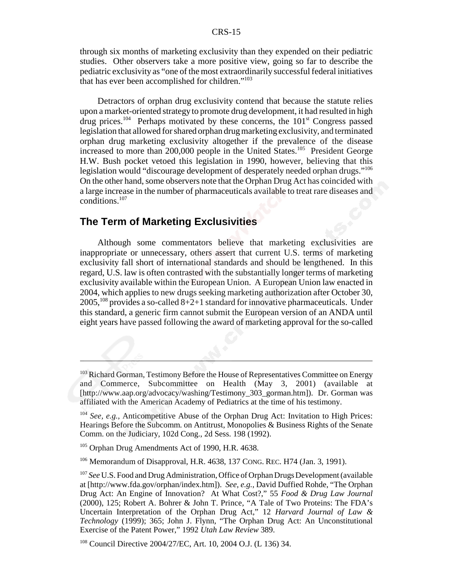through six months of marketing exclusivity than they expended on their pediatric studies. Other observers take a more positive view, going so far to describe the pediatric exclusivity as "one of the most extraordinarily successful federal initiatives that has ever been accomplished for children."103

Detractors of orphan drug exclusivity contend that because the statute relies upon a market-oriented strategy to promote drug development, it had resulted in high drug prices.<sup>104</sup> Perhaps motivated by these concerns, the 101<sup>st</sup> Congress passed legislation that allowed for shared orphan drug marketing exclusivity, and terminated orphan drug marketing exclusivity altogether if the prevalence of the disease increased to more than 200,000 people in the United States.<sup>105</sup> President George H.W. Bush pocket vetoed this legislation in 1990, however, believing that this legislation would "discourage development of desperately needed orphan drugs."<sup>106</sup> On the other hand, some observers note that the Orphan Drug Act has coincided with a large increase in the number of pharmaceuticals available to treat rare diseases and conditions.107

#### **The Term of Marketing Exclusivities**

Although some commentators believe that marketing exclusivities are inappropriate or unnecessary, others assert that current U.S. terms of marketing exclusivity fall short of international standards and should be lengthened. In this regard, U.S. law is often contrasted with the substantially longer terms of marketing exclusivity available within the European Union. A European Union law enacted in 2004, which applies to new drugs seeking marketing authorization after October 30,  $2005$ ,  $^{108}$  provides a so-called  $8+2+1$  standard for innovative pharmaceuticals. Under this standard, a generic firm cannot submit the European version of an ANDA until eight years have passed following the award of marketing approval for the so-called

<sup>&</sup>lt;sup>103</sup> Richard Gorman, Testimony Before the House of Representatives Committee on Energy and Commerce, Subcommittee on Health (May 3, 2001) (available at [http://www.aap.org/advocacy/washing/Testimony\_303\_gorman.htm]). Dr. Gorman was affiliated with the American Academy of Pediatrics at the time of his testimony.

<sup>104</sup> *See, e.g.*, Anticompetitive Abuse of the Orphan Drug Act: Invitation to High Prices: Hearings Before the Subcomm. on Antitrust, Monopolies & Business Rights of the Senate Comm. on the Judiciary, 102d Cong., 2d Sess. 198 (1992).

<sup>&</sup>lt;sup>105</sup> Orphan Drug Amendments Act of 1990, H.R. 4638.

<sup>106</sup> Memorandum of Disapproval, H.R. 4638, 137 CONG. REC. H74 (Jan. 3, 1991).

<sup>107</sup> *See* U.S. Food and Drug Administration, Office of Orphan Drugs Development (available at [http://www.fda.gov/orphan/index.htm]). *See, e.g.,* David Duffied Rohde, "The Orphan Drug Act: An Engine of Innovation? At What Cost?," 55 *Food & Drug Law Journal* (2000), 125; Robert A. Bohrer & John T. Prince, "A Tale of Two Proteins: The FDA's Uncertain Interpretation of the Orphan Drug Act," 12 *Harvard Journal of Law & Technology* (1999); 365; John J. Flynn, "The Orphan Drug Act: An Unconstitutional Exercise of the Patent Power," 1992 *Utah Law Review* 389.

<sup>108</sup> Council Directive 2004/27/EC, Art. 10, 2004 O.J. (L 136) 34.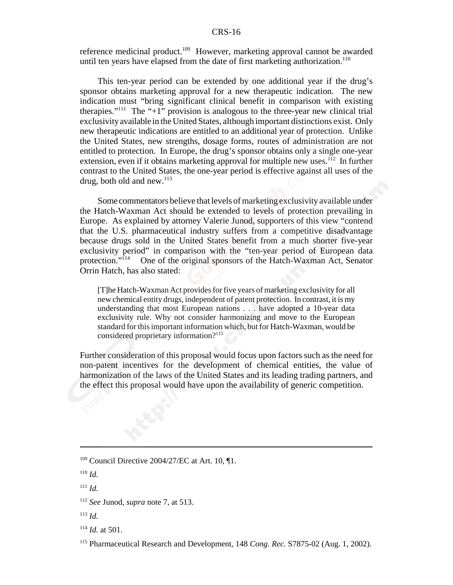reference medicinal product.<sup>109</sup> However, marketing approval cannot be awarded until ten years have elapsed from the date of first marketing authorization.<sup>110</sup>

This ten-year period can be extended by one additional year if the drug's sponsor obtains marketing approval for a new therapeutic indication. The new indication must "bring significant clinical benefit in comparison with existing therapies."<sup>111</sup> The "+1" provision is analogous to the three-year new clinical trial exclusivity available in the United States, although important distinctions exist. Only new therapeutic indications are entitled to an additional year of protection. Unlike the United States, new strengths, dosage forms, routes of administration are not entitled to protection. In Europe, the drug's sponsor obtains only a single one-year extension, even if it obtains marketing approval for multiple new uses.<sup>112</sup> In further contrast to the United States, the one-year period is effective against all uses of the drug, both old and new. $^{113}$ 

Some commentators believe that levels of marketing exclusivity available under the Hatch-Waxman Act should be extended to levels of protection prevailing in Europe. As explained by attorney Valerie Junod, supporters of this view "contend that the U.S. pharmaceutical industry suffers from a competitive disadvantage because drugs sold in the United States benefit from a much shorter five-year exclusivity period" in comparison with the "ten-year period of European data protection."<sup>114</sup> One of the original sponsors of the Hatch-Waxman Act, Senator One of the original sponsors of the Hatch-Waxman Act, Senator Orrin Hatch, has also stated:

[T]he Hatch-Waxman Act provides for five years of marketing exclusivity for all new chemical entity drugs, independent of patent protection. In contrast, it is my understanding that most European nations . . . have adopted a 10-year data exclusivity rule. Why not consider harmonizing and move to the European standard for this important information which, but for Hatch-Waxman, would be considered proprietary information?<sup>115</sup>

Further consideration of this proposal would focus upon factors such as the need for non-patent incentives for the development of chemical entities, the value of harmonization of the laws of the United States and its leading trading partners, and the effect this proposal would have upon the availability of generic competition.

<sup>111</sup> *Id.*

 $109$  Council Directive 2004/27/EC at Art. 10,  $\P$ 1.

<sup>110</sup> *Id.*

<sup>112</sup> *See* Junod, *supra* note 7, at 513.

<sup>113</sup> *Id.*

<sup>114</sup> *Id.* at 501.

<sup>115</sup> Pharmaceutical Research and Development, 148 *Cong. Rec.* S7875-02 (Aug. 1, 2002).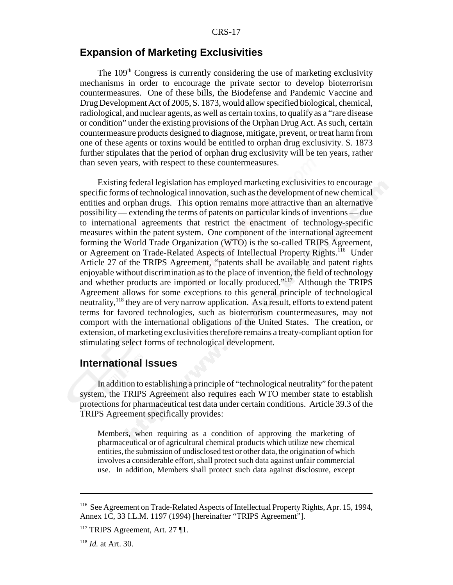#### **Expansion of Marketing Exclusivities**

The 109<sup>th</sup> Congress is currently considering the use of marketing exclusivity mechanisms in order to encourage the private sector to develop bioterrorism countermeasures. One of these bills, the Biodefense and Pandemic Vaccine and Drug Development Act of 2005, S. 1873, would allow specified biological, chemical, radiological, and nuclear agents, as well as certain toxins, to qualify as a "rare disease or condition" under the existing provisions of the Orphan Drug Act. As such, certain countermeasure products designed to diagnose, mitigate, prevent, or treat harm from one of these agents or toxins would be entitled to orphan drug exclusivity. S. 1873 further stipulates that the period of orphan drug exclusivity will be ten years, rather than seven years, with respect to these countermeasures.

Existing federal legislation has employed marketing exclusivities to encourage specific forms of technological innovation, such as the development of new chemical entities and orphan drugs. This option remains more attractive than an alternative possibility — extending the terms of patents on particular kinds of inventions — due to international agreements that restrict the enactment of technology-specific measures within the patent system. One component of the international agreement forming the World Trade Organization (WTO) is the so-called TRIPS Agreement, or Agreement on Trade-Related Aspects of Intellectual Property Rights.<sup>116</sup> Under Article 27 of the TRIPS Agreement, "patents shall be available and patent rights enjoyable without discrimination as to the place of invention, the field of technology and whether products are imported or locally produced."117 Although the TRIPS Agreement allows for some exceptions to this general principle of technological neutrality,<sup>118</sup> they are of very narrow application. As a result, efforts to extend patent terms for favored technologies, such as bioterrorism countermeasures, may not comport with the international obligations of the United States. The creation, or extension, of marketing exclusivities therefore remains a treaty-compliant option for stimulating select forms of technological development.

#### **International Issues**

In addition to establishing a principle of "technological neutrality" for the patent system, the TRIPS Agreement also requires each WTO member state to establish protections for pharmaceutical test data under certain conditions. Article 39.3 of the TRIPS Agreement specifically provides:

Members, when requiring as a condition of approving the marketing of pharmaceutical or of agricultural chemical products which utilize new chemical entities, the submission of undisclosed test or other data, the origination of which involves a considerable effort, shall protect such data against unfair commercial use. In addition, Members shall protect such data against disclosure, except

<sup>116</sup> See Agreement on Trade-Related Aspects of Intellectual Property Rights, Apr. 15, 1994, Annex 1C, 33 I.L.M. 1197 (1994) [hereinafter "TRIPS Agreement"].

<sup>&</sup>lt;sup>117</sup> TRIPS Agreement, Art. 27 ¶1.

<sup>118</sup> *Id.* at Art. 30.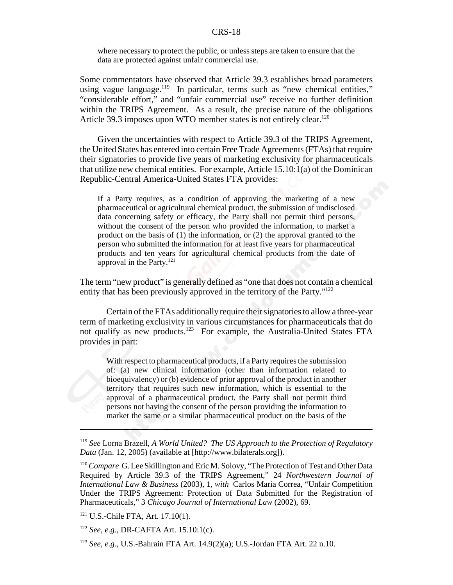where necessary to protect the public, or unless steps are taken to ensure that the data are protected against unfair commercial use.

Some commentators have observed that Article 39.3 establishes broad parameters using vague language.<sup>119</sup> In particular, terms such as "new chemical entities," "considerable effort," and "unfair commercial use" receive no further definition within the TRIPS Agreement. As a result, the precise nature of the obligations Article 39.3 imposes upon WTO member states is not entirely clear.<sup>120</sup>

Given the uncertainties with respect to Article 39.3 of the TRIPS Agreement, the United States has entered into certain Free Trade Agreements (FTAs) that require their signatories to provide five years of marketing exclusivity for pharmaceuticals that utilize new chemical entities. For example, Article  $15.10:1(a)$  of the Dominican Republic-Central America-United States FTA provides:

If a Party requires, as a condition of approving the marketing of a new pharmaceutical or agricultural chemical product, the submission of undisclosed data concerning safety or efficacy, the Party shall not permit third persons, without the consent of the person who provided the information, to market a product on the basis of (1) the information, or (2) the approval granted to the person who submitted the information for at least five years for pharmaceutical products and ten years for agricultural chemical products from the date of approval in the Party. $^{121}$ 

The term "new product" is generally defined as "one that does not contain a chemical entity that has been previously approved in the territory of the Party."<sup>122</sup>

Certain of the FTAs additionally require their signatories to allow a three-year term of marketing exclusivity in various circumstances for pharmaceuticals that do not qualify as new products.<sup>123</sup> For example, the Australia-United States FTA provides in part:

With respect to pharmaceutical products, if a Party requires the submission of: (a) new clinical information (other than information related to bioequivalency) or (b) evidence of prior approval of the product in another territory that requires such new information, which is essential to the approval of a pharmaceutical product, the Party shall not permit third persons not having the consent of the person providing the information to market the same or a similar pharmaceutical product on the basis of the

<sup>119</sup> *See* Lorna Brazell, *A World United? The US Approach to the Protection of Regulatory Data* (Jan. 12, 2005) (available at [http://www.bilaterals.org]).

<sup>&</sup>lt;sup>120</sup> *Compare* G. Lee Skillington and Eric M. Solovy, "The Protection of Test and Other Data Required by Article 39.3 of the TRIPS Agreement," 24 *Northwestern Journal of International Law & Business* (2003), 1, *with* Carlos Maria Correa, "Unfair Competition Under the TRIPS Agreement: Protection of Data Submitted for the Registration of Pharmaceuticals," 3 *Chicago Journal of International Law* (2002), 69.

<sup>121</sup> U.S.-Chile FTA, Art. 17.10(1).

<sup>122</sup> *See, e.g.,* DR-CAFTA Art. 15.10:1(c).

<sup>123</sup> *See, e.g.*, U.S.-Bahrain FTA Art. 14.9(2)(a); U.S.-Jordan FTA Art. 22 n.10.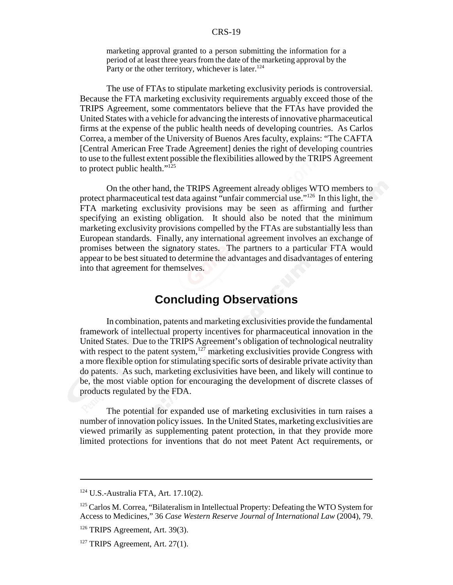marketing approval granted to a person submitting the information for a period of at least three years from the date of the marketing approval by the Party or the other territory, whichever is later.<sup>124</sup>

The use of FTAs to stipulate marketing exclusivity periods is controversial. Because the FTA marketing exclusivity requirements arguably exceed those of the TRIPS Agreement, some commentators believe that the FTAs have provided the United States with a vehicle for advancing the interests of innovative pharmaceutical firms at the expense of the public health needs of developing countries. As Carlos Correa, a member of the University of Buenos Ares faculty, explains: "The CAFTA [Central American Free Trade Agreement] denies the right of developing countries to use to the fullest extent possible the flexibilities allowed by the TRIPS Agreement to protect public health." $125$ 

On the other hand, the TRIPS Agreement already obliges WTO members to protect pharmaceutical test data against "unfair commercial use."<sup>126</sup> In this light, the FTA marketing exclusivity provisions may be seen as affirming and further specifying an existing obligation. It should also be noted that the minimum marketing exclusivity provisions compelled by the FTAs are substantially less than European standards. Finally, any international agreement involves an exchange of promises between the signatory states. The partners to a particular FTA would appear to be best situated to determine the advantages and disadvantages of entering into that agreement for themselves.

# **Concluding Observations**

In combination, patents and marketing exclusivities provide the fundamental framework of intellectual property incentives for pharmaceutical innovation in the United States. Due to the TRIPS Agreement's obligation of technological neutrality with respect to the patent system,<sup>127</sup> marketing exclusivities provide Congress with a more flexible option for stimulating specific sorts of desirable private activity than do patents. As such, marketing exclusivities have been, and likely will continue to be, the most viable option for encouraging the development of discrete classes of products regulated by the FDA.

The potential for expanded use of marketing exclusivities in turn raises a number of innovation policy issues. In the United States, marketing exclusivities are viewed primarily as supplementing patent protection, in that they provide more limited protections for inventions that do not meet Patent Act requirements, or

<sup>124</sup> U.S.-Australia FTA, Art. 17.10(2).

<sup>&</sup>lt;sup>125</sup> Carlos M. Correa, "Bilateralism in Intellectual Property: Defeating the WTO System for Access to Medicines," 36 *Case Western Reserve Journal of International Law* (2004), 79.

<sup>126</sup> TRIPS Agreement, Art. 39(3).

 $127$  TRIPS Agreement, Art. 27(1).